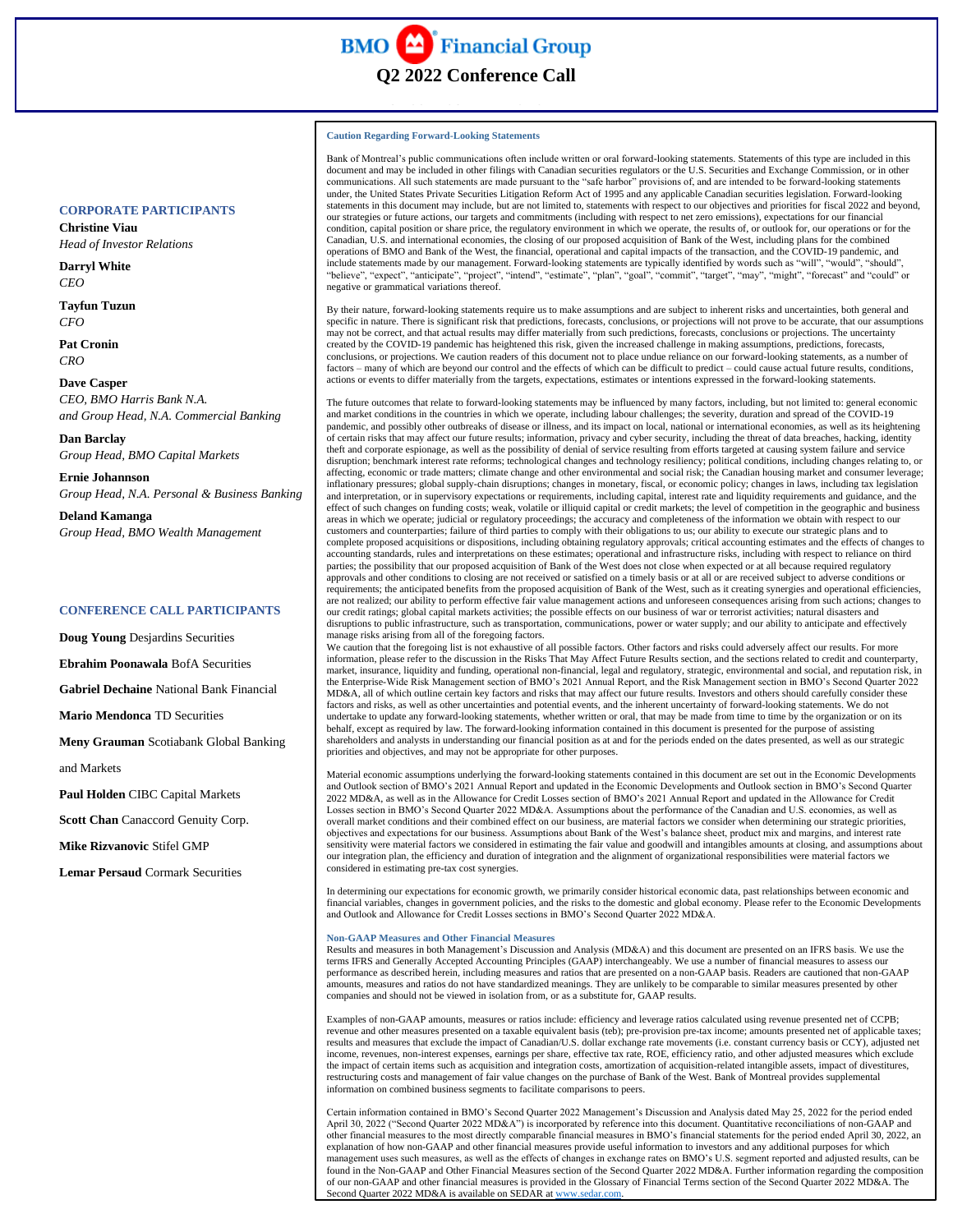

**Q4 2017 CONFERENCE CALL**

#### **Caution Regarding Forward-Looking Statements**

Bank of Montreal's public communications often include written or oral forward-looking statements. Statements of this type are included in this document and may be included in other filings with Canadian securities regulators or the U.S. Securities and Exchange Commission, or in other communications. All such statements are made pursuant to the "safe harbor" provisions of, and are intended to be forward-looking statements<br>under, the United States Private Securities Litigation Reform Act of 1995 and any statements in this document may include, but are not limited to, statements with respect to our objectives and priorities for fiscal 2022 and beyond, our strategies or future actions, our targets and commitments (including with respect to net zero emissions), expectations for our financial condition, capital position or share price, the regulatory environment in which we operate, the results of, or outlook for, our operations or for the Canadian, U.S. and international economies, the closing of our proposed acquisition of Bank of the West, including plans for the combined operations of BMO and Bank of the West, the financial, operational and capital impacts of the transaction, and the COVID-19 pandemic, and include statements made by our management. Forward-looking statements are typically identified by words such as "will", "would", "should", "believe", "expect", "anticipate", "project", "intend", "estimate", "plan", "goal", "commit", "target", "may", "might", "forecast" and "could" or negative or grammatical variations thereof.

By their nature, forward-looking statements require us to make assumptions and are subject to inherent risks and uncertainties, both general and specific in nature. There is significant risk that predictions, forecasts, conclusions, or projections will not prove to be accurate, that our assumptions may not be correct, and that actual results may differ materially from such predictions, forecasts, conclusions or projections. The uncertainty created by the COVID-19 pandemic has heightened this risk, given the increased challenge in making assumptions, predictions, forecasts, conclusions, or projections. We caution readers of this document not to place undue reliance on our forward-looking statements, as a number of factors – many of which are beyond our control and the effects of which can be difficult to predict – could cause actual future results, conditions, actions or events to differ materially from the targets, expectations, estimates or intentions expressed in the forward-looking statements.

The future outcomes that relate to forward-looking statements may be influenced by many factors, including, but not limited to: general economic and market conditions in the countries in which we operate, including labour challenges; the severity, duration and spread of the COVID-19 pandemic, and possibly other outbreaks of disease or illness, and its impact on local, national or international economies, as well as its heightening of certain risks that may affect our future results; information, privacy and cyber security, including the threat of data breaches, hacking, identity theft and corporate espionage, as well as the possibility of denial of service resulting from efforts targeted at causing system failure and service disruption; benchmark interest rate reforms; technological changes and technology resiliency; political conditions, including changes relating to, or affecting, economic or trade matters; climate change and other environmental and social risk; the Canadian housing market and consumer leverage; inflationary pressures; global supply-chain disruptions; changes in monetary, fiscal, or economic policy; changes in laws, including tax legislation and interpretation, or in supervisory expectations or requirements, including capital, interest rate and liquidity requirements and guidance, and the effect of such changes on funding costs; weak, volatile or illiquid capital or credit markets; the level of competition in the geographic and business areas in which we operate; judicial or regulatory proceedings; the accuracy and completeness of the information we obtain with respect to our<br>customers and counterparties; failure of third parties to comply with their obli complete proposed acquisitions or dispositions, including obtaining regulatory approvals; critical accounting estimates and the effects of changes to accounting standards, rules and interpretations on these estimates; operational and infrastructure risks, including with respect to reliance on third parties; the possibility that our proposed acquisition of Bank of the West does not close when expected or at all because required regulatory approvals and other conditions to closing are not received or satisfied on a timely basis or at all or are received subject to adverse conditions or requirements; the anticipated benefits from the proposed acquisition of Bank of the West, such as it creating synergies and operational efficiencies, are not realized; our ability to perform effective fair value management actions and unforeseen consequences arising from such actions; changes to our credit ratings; global capital markets activities; the possible effects on our business of war or terrorist activities; natural disasters and disruptions to public infrastructure, such as transportation, communications, power or water supply; and our ability to anticipate and effectively manage risks arising from all of the foregoing factors.

We caution that the foregoing list is not exhaustive of all possible factors. Other factors and risks could adversely affect our results. For more information, please refer to the discussion in the Risks That May Affect Future Results section, and the sections related to credit and counterparty, market, insurance, liquidity and funding, operational non-financial, legal and regulatory, strategic, environmental and social, and reputation risk, in the Enterprise-Wide Risk Management section of BMO's 2021 Annual Report, and the Risk Management section in BMO's Second Quarter 2022 MD&A, all of which outline certain key factors and risks that may affect our future results. Investors and others should carefully consider these factors and risks, as well as other uncertainties and potential events, and the inherent uncertainty of forward-looking statements. We do not undertake to update any forward-looking statements, whether written or oral, that may be made from time to time by the organization or on its behalf, except as required by law. The forward-looking information contained in this document is presented for the purpose of assisting shareholders and analysts in understanding our financial position as at and for the periods ended on the dates presented, as well as our strategic priorities and objectives, and may not be appropriate for other purposes.

Material economic assumptions underlying the forward-looking statements contained in this document are set out in the Economic Developments and Outlook section of BMO's 2021 Annual Report and updated in the Economic Developments and Outlook section in BMO's Second Quarter 2022 MD&A, as well as in the Allowance for Credit Losses section of BMO's 2021 Annual Report and updated in the Allowance for Credit Losses section in BMO's Second Quarter 2022 MD&A. Assumptions about the performance of the Canadian and U.S. economies, as well as overall market conditions and their combined effect on our business, are material factors we consider when determining our strategic priorities, objectives and expectations for our business. Assumptions about Bank of the West's balance sheet, product mix and margins, and interest rate sensitivity were material factors we considered in estimating the fair value and goodwill and intangibles amounts at closing, and assumptions about our integration plan, the efficiency and duration of integration and the alignment of organizational responsibilities were material factors we considered in estimating pre-tax cost synergies.

In determining our expectations for economic growth, we primarily consider historical economic data, past relationships between economic and financial variables, changes in government policies, and the risks to the domesti In determining our expectations for economic growth, we primarily consider historical economic data, past relationships between economic and and Outlook and Allowance for Credit Losses sections in BMO's Second Quarter 2022 MD&A.

#### **Non-GAAP Measures and Other Financial Measures**

terms IFRS and Generally Accepted Accounting Principles (GAAP) interchangeably. We use a number of financial measures to assess our<br>performance as described herein, including measures and ratios that are presented on a non Results and measures in both Management's Discussion and Analysis (MD&A) and this document are presented on an IFRS basis. We use the terms IFRS and Generally Accepted Accounting Principles (GAAP) interchangeably. We use a number of financial measures to assess our amounts, measures and ratios do not have standardized meanings. They are unlikely to be comparable to similar measures presented by other companies and should not be viewed in isolation from, or as a substitute for, GAAP results.

> Examples of non-GAAP amounts, measures or ratios include: efficiency and leverage ratios calculated using revenue presented net of CCPB; revenue and other measures presented on a taxable equivalent basis (teb); pre-provision pre-tax income; amounts presented net of applicable taxes; results and measures that exclude the impact of Canadian/U.S. dollar exchange rate movements (i.e. constant currency basis or CCY), adjusted net income, revenues, non-interest expenses, earnings per share, effective tax rate, ROE, efficiency ratio, and other adjusted measures which exclude the impact of certain items such as acquisition and integration costs, amortization of acquisition-related intangible assets, impact of divestitures, restructuring costs and management of fair value changes on the purchase of Bank of the West. Bank of Montreal provides supplemental information on combined business segments to facilitate comparisons to peers.

> Certain information contained in BMO's Second Quarter 2022 Management's Discussion and Analysis dated May 25, 2022 for the period ended April 30, 2022 ("Second Quarter 2022 MD&A") is incorporated by reference into this document. Quantitative reconciliations of non-GAAP and<br>other financial measures to the most directly comparable financial measures in BMO's explanation of how non-GAAP and other financial measures provide useful information to investors and any additional purposes for which management uses such measures, as well as the effects of changes in exchange rates on BMO's U.S. segment reported and adjusted results, can be found in the Non-GAAP and Other Financial Measures section of the Second Quarter 2022 MD&A. Further information regarding the composition of our non-GAAP and other financial measures is provided in the Glossary of Financial Terms section of the Second Quarter 2022 MD&A. The Second Quarter 2022 MD&A is available on SEDAR at www.sedar.com

#### **CORPORATE PARTICIPANTS**

**Christine Viau** *Head of Investor Relations*

**Darryl White** *CEO* 

**Tayfun Tuzun** *CFO*

**Pat Cronin**  *CRO*

**Dave Casper** *CEO, BMO Harris Bank N.A. and Group Head, N.A. Commercial Banking*

**Dan Barclay**  *Group Head, BMO Capital Markets*

**Ernie Johannson**  *Group Head, N.A. Personal & Business Banking*

**Deland Kamanga**  *Group Head, BMO Wealth Management*

#### **CONFERENCE CALL PARTICIPANTS**

**Doug Young** Desjardins Securities

**Ebrahim Poonawala** BofA Securities

**Gabriel Dechaine** National Bank Financial

**Mario Mendonca** TD Securities

**Meny Grauman** Scotiabank Global Banking and Markets

**Paul Holden** CIBC Capital Markets

**Scott Chan Canaccord Genuity Corp.** 

**Mike Rizvanovic** Stifel GMP

**Lemar Persaud** Cormark Securities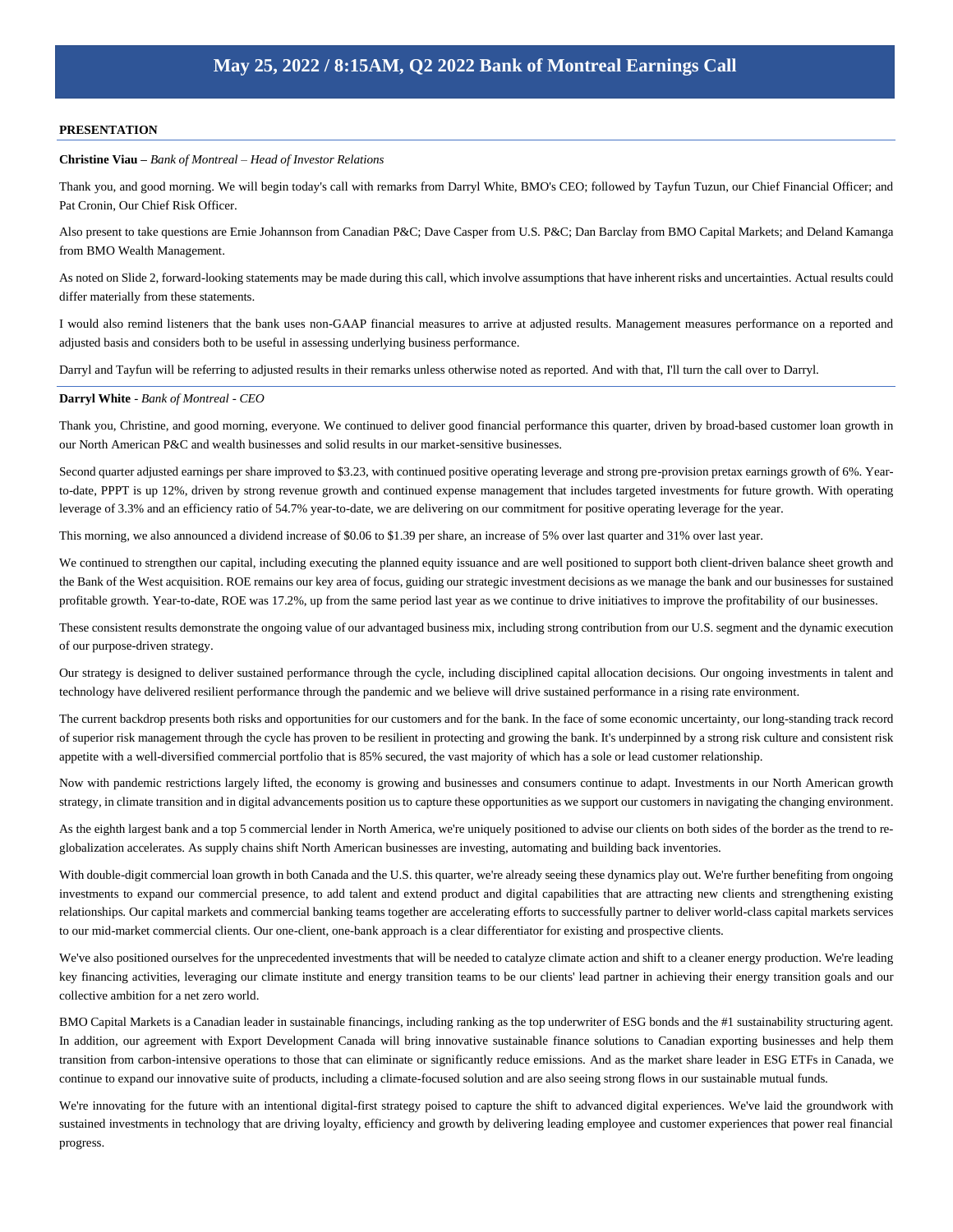## **PRESENTATION**

#### **Christine Viau –** *Bank of Montreal – Head of Investor Relations*

Thank you, and good morning. We will begin today's call with remarks from Darryl White, BMO's CEO; followed by Tayfun Tuzun, our Chief Financial Officer; and Pat Cronin, Our Chief Risk Officer.

Also present to take questions are Ernie Johannson from Canadian P&C; Dave Casper from U.S. P&C; Dan Barclay from BMO Capital Markets; and Deland Kamanga from BMO Wealth Management.

As noted on Slide 2, forward-looking statements may be made during this call, which involve assumptions that have inherent risks and uncertainties. Actual results could differ materially from these statements.

I would also remind listeners that the bank uses non-GAAP financial measures to arrive at adjusted results. Management measures performance on a reported and adjusted basis and considers both to be useful in assessing underlying business performance.

Darryl and Tayfun will be referring to adjusted results in their remarks unless otherwise noted as reported. And with that, I'll turn the call over to Darryl.

#### **Darryl White** - *Bank of Montreal - CEO*

Thank you, Christine, and good morning, everyone. We continued to deliver good financial performance this quarter, driven by broad-based customer loan growth in our North American P&C and wealth businesses and solid results in our market-sensitive businesses.

Second quarter adjusted earnings per share improved to \$3.23, with continued positive operating leverage and strong pre-provision pretax earnings growth of 6%. Yearto-date, PPPT is up 12%, driven by strong revenue growth and continued expense management that includes targeted investments for future growth. With operating leverage of 3.3% and an efficiency ratio of 54.7% year-to-date, we are delivering on our commitment for positive operating leverage for the year.

This morning, we also announced a dividend increase of \$0.06 to \$1.39 per share, an increase of 5% over last quarter and 31% over last year.

We continued to strengthen our capital, including executing the planned equity issuance and are well positioned to support both client-driven balance sheet growth and the Bank of the West acquisition. ROE remains our key area of focus, guiding our strategic investment decisions as we manage the bank and our businesses for sustained profitable growth. Year-to-date, ROE was 17.2%, up from the same period last year as we continue to drive initiatives to improve the profitability of our businesses.

These consistent results demonstrate the ongoing value of our advantaged business mix, including strong contribution from our U.S. segment and the dynamic execution of our purpose-driven strategy.

Our strategy is designed to deliver sustained performance through the cycle, including disciplined capital allocation decisions. Our ongoing investments in talent and technology have delivered resilient performance through the pandemic and we believe will drive sustained performance in a rising rate environment.

The current backdrop presents both risks and opportunities for our customers and for the bank. In the face of some economic uncertainty, our long-standing track record of superior risk management through the cycle has proven to be resilient in protecting and growing the bank. It's underpinned by a strong risk culture and consistent risk appetite with a well-diversified commercial portfolio that is 85% secured, the vast majority of which has a sole or lead customer relationship.

Now with pandemic restrictions largely lifted, the economy is growing and businesses and consumers continue to adapt. Investments in our North American growth strategy, in climate transition and in digital advancements position us to capture these opportunities as we support our customers in navigating the changing environment.

As the eighth largest bank and a top 5 commercial lender in North America, we're uniquely positioned to advise our clients on both sides of the border as the trend to reglobalization accelerates. As supply chains shift North American businesses are investing, automating and building back inventories.

With double-digit commercial loan growth in both Canada and the U.S. this quarter, we're already seeing these dynamics play out. We're further benefiting from ongoing investments to expand our commercial presence, to add talent and extend product and digital capabilities that are attracting new clients and strengthening existing relationships. Our capital markets and commercial banking teams together are accelerating efforts to successfully partner to deliver world-class capital markets services to our mid-market commercial clients. Our one-client, one-bank approach is a clear differentiator for existing and prospective clients.

We've also positioned ourselves for the unprecedented investments that will be needed to catalyze climate action and shift to a cleaner energy production. We're leading key financing activities, leveraging our climate institute and energy transition teams to be our clients' lead partner in achieving their energy transition goals and our collective ambition for a net zero world.

BMO Capital Markets is a Canadian leader in sustainable financings, including ranking as the top underwriter of ESG bonds and the #1 sustainability structuring agent. In addition, our agreement with Export Development Canada will bring innovative sustainable finance solutions to Canadian exporting businesses and help them transition from carbon-intensive operations to those that can eliminate or significantly reduce emissions. And as the market share leader in ESG ETFs in Canada, we continue to expand our innovative suite of products, including a climate-focused solution and are also seeing strong flows in our sustainable mutual funds.

We're innovating for the future with an intentional digital-first strategy poised to capture the shift to advanced digital experiences. We've laid the groundwork with sustained investments in technology that are driving loyalty, efficiency and growth by delivering leading employee and customer experiences that power real financial progress.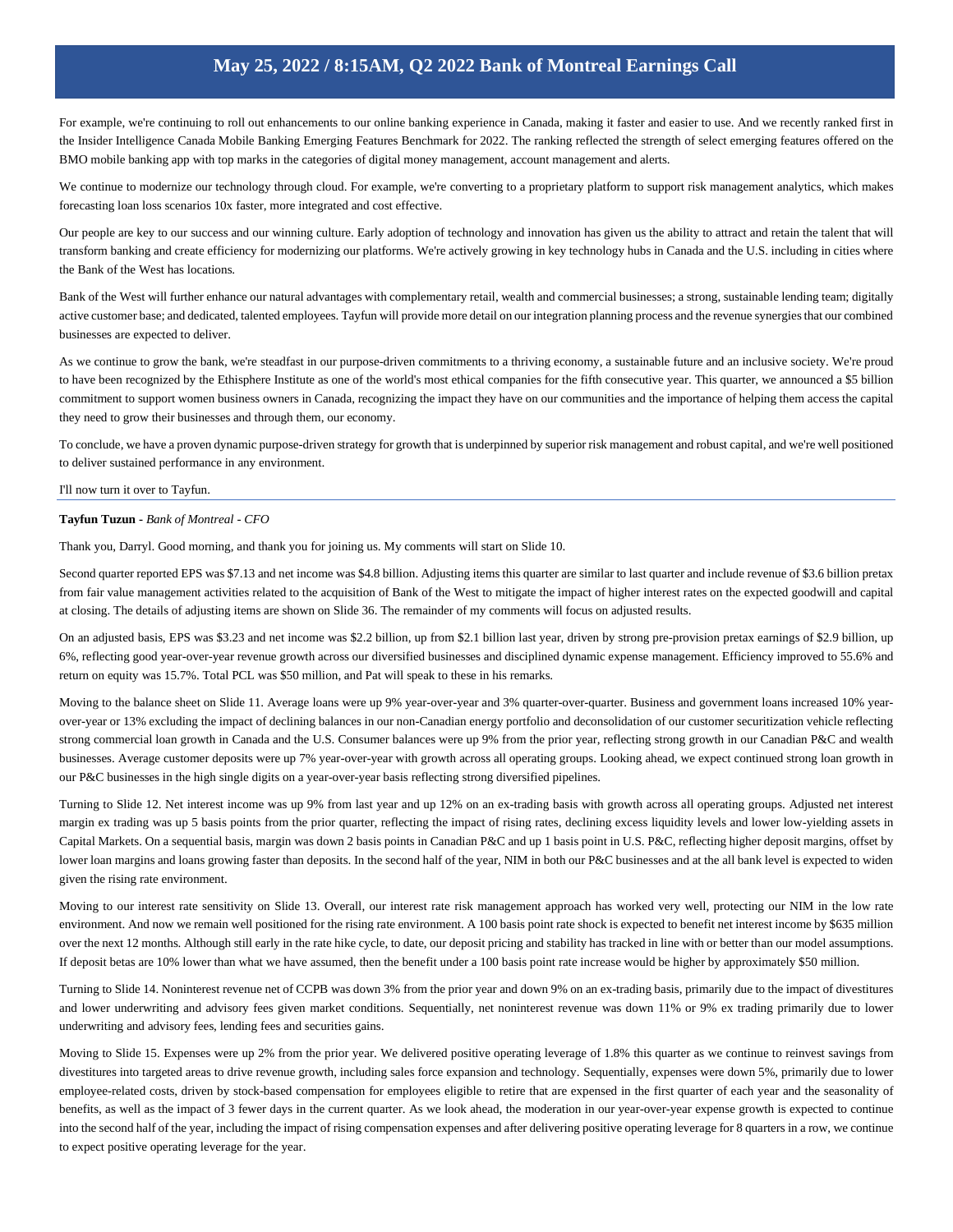For example, we're continuing to roll out enhancements to our online banking experience in Canada, making it faster and easier to use. And we recently ranked first in the Insider Intelligence Canada Mobile Banking Emerging Features Benchmark for 2022. The ranking reflected the strength of select emerging features offered on the BMO mobile banking app with top marks in the categories of digital money management, account management and alerts.

We continue to modernize our technology through cloud. For example, we're converting to a proprietary platform to support risk management analytics, which makes forecasting loan loss scenarios 10x faster, more integrated and cost effective.

Our people are key to our success and our winning culture. Early adoption of technology and innovation has given us the ability to attract and retain the talent that will transform banking and create efficiency for modernizing our platforms. We're actively growing in key technology hubs in Canada and the U.S. including in cities where the Bank of the West has locations.

Bank of the West will further enhance our natural advantages with complementary retail, wealth and commercial businesses; a strong, sustainable lending team; digitally active customer base; and dedicated, talented employees. Tayfun will provide more detail on our integration planning process and the revenue synergies that our combined businesses are expected to deliver.

As we continue to grow the bank, we're steadfast in our purpose-driven commitments to a thriving economy, a sustainable future and an inclusive society. We're proud to have been recognized by the Ethisphere Institute as one of the world's most ethical companies for the fifth consecutive year. This quarter, we announced a \$5 billion commitment to support women business owners in Canada, recognizing the impact they have on our communities and the importance of helping them access the capital they need to grow their businesses and through them, our economy.

To conclude, we have a proven dynamic purpose-driven strategy for growth that is underpinned by superior risk management and robust capital, and we're well positioned to deliver sustained performance in any environment.

#### I'll now turn it over to Tayfun.

## **Tayfun Tuzun -** *Bank of Montreal - CFO*

Thank you, Darryl. Good morning, and thank you for joining us. My comments will start on Slide 10.

Second quarter reported EPS was \$7.13 and net income was \$4.8 billion. Adjusting items this quarter are similar to last quarter and include revenue of \$3.6 billion pretax from fair value management activities related to the acquisition of Bank of the West to mitigate the impact of higher interest rates on the expected goodwill and capital at closing. The details of adjusting items are shown on Slide 36. The remainder of my comments will focus on adjusted results.

On an adjusted basis, EPS was \$3.23 and net income was \$2.2 billion, up from \$2.1 billion last year, driven by strong pre-provision pretax earnings of \$2.9 billion, up 6%, reflecting good year-over-year revenue growth across our diversified businesses and disciplined dynamic expense management. Efficiency improved to 55.6% and return on equity was 15.7%. Total PCL was \$50 million, and Pat will speak to these in his remarks.

Moving to the balance sheet on Slide 11. Average loans were up 9% year-over-year and 3% quarter-over-quarter. Business and government loans increased 10% yearover-year or 13% excluding the impact of declining balances in our non-Canadian energy portfolio and deconsolidation of our customer securitization vehicle reflecting strong commercial loan growth in Canada and the U.S. Consumer balances were up 9% from the prior year, reflecting strong growth in our Canadian P&C and wealth businesses. Average customer deposits were up 7% year-over-year with growth across all operating groups. Looking ahead, we expect continued strong loan growth in our P&C businesses in the high single digits on a year-over-year basis reflecting strong diversified pipelines.

Turning to Slide 12. Net interest income was up 9% from last year and up 12% on an ex-trading basis with growth across all operating groups. Adjusted net interest margin ex trading was up 5 basis points from the prior quarter, reflecting the impact of rising rates, declining excess liquidity levels and lower low-yielding assets in Capital Markets. On a sequential basis, margin was down 2 basis points in Canadian P&C and up 1 basis point in U.S. P&C, reflecting higher deposit margins, offset by lower loan margins and loans growing faster than deposits. In the second half of the year, NIM in both our P&C businesses and at the all bank level is expected to widen given the rising rate environment.

Moving to our interest rate sensitivity on Slide 13. Overall, our interest rate risk management approach has worked very well, protecting our NIM in the low rate environment. And now we remain well positioned for the rising rate environment. A 100 basis point rate shock is expected to benefit net interest income by \$635 million over the next 12 months. Although still early in the rate hike cycle, to date, our deposit pricing and stability has tracked in line with or better than our model assumptions. If deposit betas are 10% lower than what we have assumed, then the benefit under a 100 basis point rate increase would be higher by approximately \$50 million.

Turning to Slide 14. Noninterest revenue net of CCPB was down 3% from the prior year and down 9% on an ex-trading basis, primarily due to the impact of divestitures and lower underwriting and advisory fees given market conditions. Sequentially, net noninterest revenue was down 11% or 9% ex trading primarily due to lower underwriting and advisory fees, lending fees and securities gains.

Moving to Slide 15. Expenses were up 2% from the prior year. We delivered positive operating leverage of 1.8% this quarter as we continue to reinvest savings from divestitures into targeted areas to drive revenue growth, including sales force expansion and technology. Sequentially, expenses were down 5%, primarily due to lower employee-related costs, driven by stock-based compensation for employees eligible to retire that are expensed in the first quarter of each year and the seasonality of benefits, as well as the impact of 3 fewer days in the current quarter. As we look ahead, the moderation in our year-over-year expense growth is expected to continue into the second half of the year, including the impact of rising compensation expenses and after delivering positive operating leverage for 8 quarters in a row, we continue to expect positive operating leverage for the year.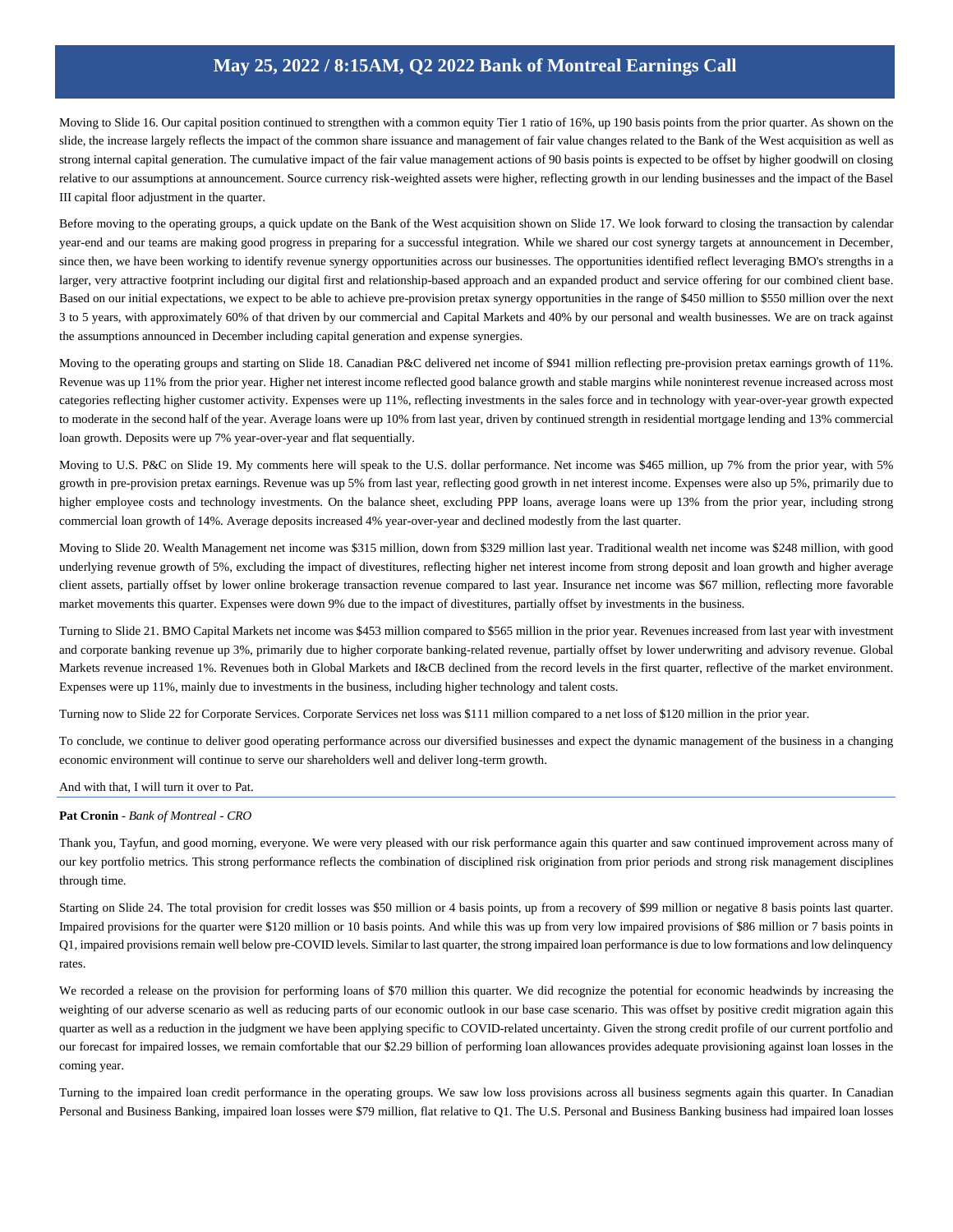Moving to Slide 16. Our capital position continued to strengthen with a common equity Tier 1 ratio of 16%, up 190 basis points from the prior quarter. As shown on the slide, the increase largely reflects the impact of the common share issuance and management of fair value changes related to the Bank of the West acquisition as well as strong internal capital generation. The cumulative impact of the fair value management actions of 90 basis points is expected to be offset by higher goodwill on closing relative to our assumptions at announcement. Source currency risk-weighted assets were higher, reflecting growth in our lending businesses and the impact of the Basel III capital floor adjustment in the quarter.

Before moving to the operating groups, a quick update on the Bank of the West acquisition shown on Slide 17. We look forward to closing the transaction by calendar year-end and our teams are making good progress in preparing for a successful integration. While we shared our cost synergy targets at announcement in December, since then, we have been working to identify revenue synergy opportunities across our businesses. The opportunities identified reflect leveraging BMO's strengths in a larger, very attractive footprint including our digital first and relationship-based approach and an expanded product and service offering for our combined client base. Based on our initial expectations, we expect to be able to achieve pre-provision pretax synergy opportunities in the range of \$450 million to \$550 million over the next 3 to 5 years, with approximately 60% of that driven by our commercial and Capital Markets and 40% by our personal and wealth businesses. We are on track against the assumptions announced in December including capital generation and expense synergies.

Moving to the operating groups and starting on Slide 18. Canadian P&C delivered net income of \$941 million reflecting pre-provision pretax earnings growth of 11%. Revenue was up 11% from the prior year. Higher net interest income reflected good balance growth and stable margins while noninterest revenue increased across most categories reflecting higher customer activity. Expenses were up 11%, reflecting investments in the sales force and in technology with year-over-year growth expected to moderate in the second half of the year. Average loans were up 10% from last year, driven by continued strength in residential mortgage lending and 13% commercial loan growth. Deposits were up 7% year-over-year and flat sequentially.

Moving to U.S. P&C on Slide 19. My comments here will speak to the U.S. dollar performance. Net income was \$465 million, up 7% from the prior year, with 5% growth in pre-provision pretax earnings. Revenue was up 5% from last year, reflecting good growth in net interest income. Expenses were also up 5%, primarily due to higher employee costs and technology investments. On the balance sheet, excluding PPP loans, average loans were up 13% from the prior year, including strong commercial loan growth of 14%. Average deposits increased 4% year-over-year and declined modestly from the last quarter.

Moving to Slide 20. Wealth Management net income was \$315 million, down from \$329 million last year. Traditional wealth net income was \$248 million, with good underlying revenue growth of 5%, excluding the impact of divestitures, reflecting higher net interest income from strong deposit and loan growth and higher average client assets, partially offset by lower online brokerage transaction revenue compared to last year. Insurance net income was \$67 million, reflecting more favorable market movements this quarter. Expenses were down 9% due to the impact of divestitures, partially offset by investments in the business.

Turning to Slide 21. BMO Capital Markets net income was \$453 million compared to \$565 million in the prior year. Revenues increased from last year with investment and corporate banking revenue up 3%, primarily due to higher corporate banking-related revenue, partially offset by lower underwriting and advisory revenue. Global Markets revenue increased 1%. Revenues both in Global Markets and I&CB declined from the record levels in the first quarter, reflective of the market environment. Expenses were up 11%, mainly due to investments in the business, including higher technology and talent costs.

Turning now to Slide 22 for Corporate Services. Corporate Services net loss was \$111 million compared to a net loss of \$120 million in the prior year.

To conclude, we continue to deliver good operating performance across our diversified businesses and expect the dynamic management of the business in a changing economic environment will continue to serve our shareholders well and deliver long-term growth.

And with that, I will turn it over to Pat.

#### **Pat Cronin** *- Bank of Montreal - CRO*

Thank you, Tayfun, and good morning, everyone. We were very pleased with our risk performance again this quarter and saw continued improvement across many of our key portfolio metrics. This strong performance reflects the combination of disciplined risk origination from prior periods and strong risk management disciplines through time.

Starting on Slide 24. The total provision for credit losses was \$50 million or 4 basis points, up from a recovery of \$99 million or negative 8 basis points last quarter. Impaired provisions for the quarter were \$120 million or 10 basis points. And while this was up from very low impaired provisions of \$86 million or 7 basis points in Q1, impaired provisions remain well below pre-COVID levels. Similar to last quarter, the strong impaired loan performance is due to low formations and low delinquency rates.

We recorded a release on the provision for performing loans of \$70 million this quarter. We did recognize the potential for economic headwinds by increasing the weighting of our adverse scenario as well as reducing parts of our economic outlook in our base case scenario. This was offset by positive credit migration again this quarter as well as a reduction in the judgment we have been applying specific to COVID-related uncertainty. Given the strong credit profile of our current portfolio and our forecast for impaired losses, we remain comfortable that our \$2.29 billion of performing loan allowances provides adequate provisioning against loan losses in the coming year.

Turning to the impaired loan credit performance in the operating groups. We saw low loss provisions across all business segments again this quarter. In Canadian Personal and Business Banking, impaired loan losses were \$79 million, flat relative to Q1. The U.S. Personal and Business Banking business had impaired loan losses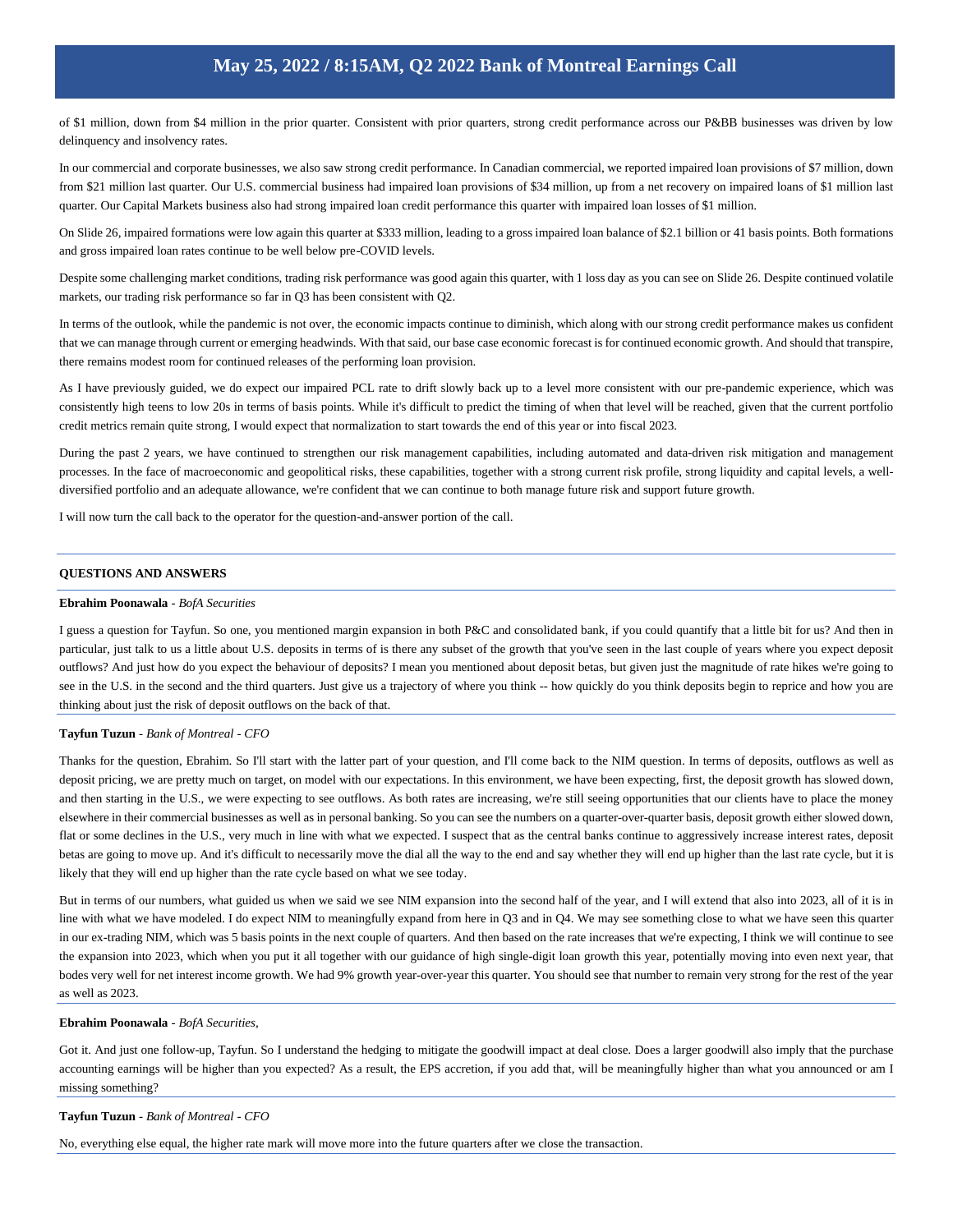of \$1 million, down from \$4 million in the prior quarter. Consistent with prior quarters, strong credit performance across our P&BB businesses was driven by low delinquency and insolvency rates.

In our commercial and corporate businesses, we also saw strong credit performance. In Canadian commercial, we reported impaired loan provisions of \$7 million, down from \$21 million last quarter. Our U.S. commercial business had impaired loan provisions of \$34 million, up from a net recovery on impaired loans of \$1 million last quarter. Our Capital Markets business also had strong impaired loan credit performance this quarter with impaired loan losses of \$1 million.

On Slide 26, impaired formations were low again this quarter at \$333 million, leading to a gross impaired loan balance of \$2.1 billion or 41 basis points. Both formations and gross impaired loan rates continue to be well below pre-COVID levels.

Despite some challenging market conditions, trading risk performance was good again this quarter, with 1 loss day as you can see on Slide 26. Despite continued volatile markets, our trading risk performance so far in Q3 has been consistent with Q2.

In terms of the outlook, while the pandemic is not over, the economic impacts continue to diminish, which along with our strong credit performance makes us confident that we can manage through current or emerging headwinds. With that said, our base case economic forecast is for continued economic growth. And should that transpire, there remains modest room for continued releases of the performing loan provision.

As I have previously guided, we do expect our impaired PCL rate to drift slowly back up to a level more consistent with our pre-pandemic experience, which was consistently high teens to low 20s in terms of basis points. While it's difficult to predict the timing of when that level will be reached, given that the current portfolio credit metrics remain quite strong, I would expect that normalization to start towards the end of this year or into fiscal 2023.

During the past 2 years, we have continued to strengthen our risk management capabilities, including automated and data-driven risk mitigation and management processes. In the face of macroeconomic and geopolitical risks, these capabilities, together with a strong current risk profile, strong liquidity and capital levels, a welldiversified portfolio and an adequate allowance, we're confident that we can continue to both manage future risk and support future growth.

I will now turn the call back to the operator for the question-and-answer portion of the call.

## **QUESTIONS AND ANSWERS**

#### **Ebrahim Poonawala** - *BofA Securities*

I guess a question for Tayfun. So one, you mentioned margin expansion in both P&C and consolidated bank, if you could quantify that a little bit for us? And then in particular, just talk to us a little about U.S. deposits in terms of is there any subset of the growth that you've seen in the last couple of years where you expect deposit outflows? And just how do you expect the behaviour of deposits? I mean you mentioned about deposit betas, but given just the magnitude of rate hikes we're going to see in the U.S. in the second and the third quarters. Just give us a trajectory of where you think -- how quickly do you think deposits begin to reprice and how you are thinking about just the risk of deposit outflows on the back of that.

## **Tayfun Tuzun** *- Bank of Montreal - CFO*

Thanks for the question, Ebrahim. So I'll start with the latter part of your question, and I'll come back to the NIM question. In terms of deposits, outflows as well as deposit pricing, we are pretty much on target, on model with our expectations. In this environment, we have been expecting, first, the deposit growth has slowed down, and then starting in the U.S., we were expecting to see outflows. As both rates are increasing, we're still seeing opportunities that our clients have to place the money elsewhere in their commercial businesses as well as in personal banking. So you can see the numbers on a quarter-over-quarter basis, deposit growth either slowed down, flat or some declines in the U.S., very much in line with what we expected. I suspect that as the central banks continue to aggressively increase interest rates, deposit betas are going to move up. And it's difficult to necessarily move the dial all the way to the end and say whether they will end up higher than the last rate cycle, but it is likely that they will end up higher than the rate cycle based on what we see today.

But in terms of our numbers, what guided us when we said we see NIM expansion into the second half of the year, and I will extend that also into 2023, all of it is in line with what we have modeled. I do expect NIM to meaningfully expand from here in Q3 and in Q4. We may see something close to what we have seen this quarter in our ex-trading NIM, which was 5 basis points in the next couple of quarters. And then based on the rate increases that we're expecting, I think we will continue to see the expansion into 2023, which when you put it all together with our guidance of high single-digit loan growth this year, potentially moving into even next year, that bodes very well for net interest income growth. We had 9% growth year-over-year this quarter. You should see that number to remain very strong for the rest of the year as well as 2023.

## **Ebrahim Poonawala** - *BofA Securities,*

Got it. And just one follow-up, Tayfun. So I understand the hedging to mitigate the goodwill impact at deal close. Does a larger goodwill also imply that the purchase accounting earnings will be higher than you expected? As a result, the EPS accretion, if you add that, will be meaningfully higher than what you announced or am I missing something?

## **Tayfun Tuzun** - *Bank of Montreal - CFO*

No, everything else equal, the higher rate mark will move more into the future quarters after we close the transaction.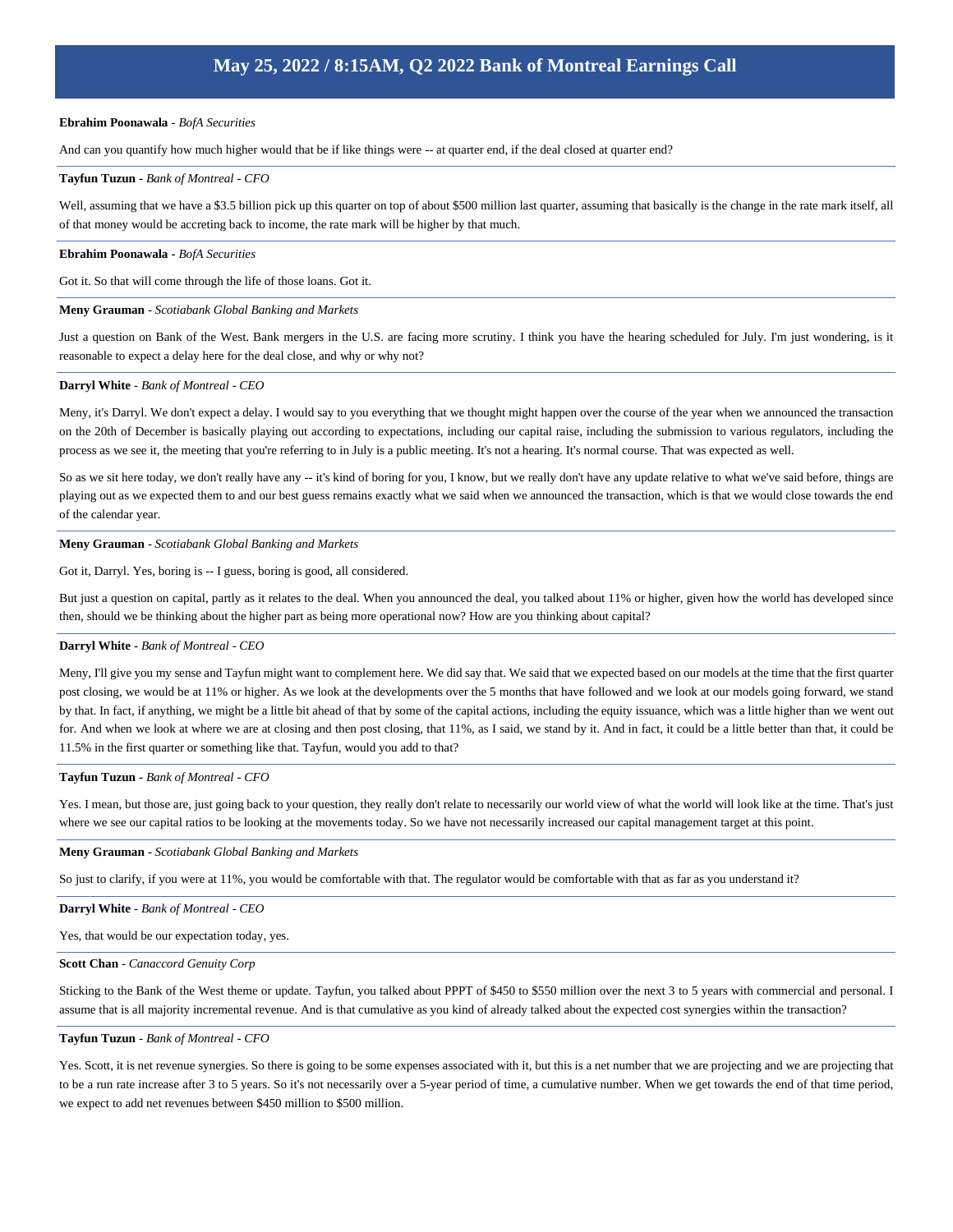#### **Ebrahim Poonawala** - *BofA Securities*

And can you quantify how much higher would that be if like things were -- at quarter end, if the deal closed at quarter end?

#### **Tayfun Tuzun -** *Bank of Montreal - CFO*

Well, assuming that we have a \$3.5 billion pick up this quarter on top of about \$500 million last quarter, assuming that basically is the change in the rate mark itself, all of that money would be accreting back to income, the rate mark will be higher by that much.

#### **Ebrahim Poonawala -** *BofA Securities*

Got it. So that will come through the life of those loans. Got it.

#### **Meny Grauman** - *Scotiabank Global Banking and Markets*

Just a question on Bank of the West. Bank mergers in the U.S. are facing more scrutiny. I think you have the hearing scheduled for July. I'm just wondering, is it reasonable to expect a delay here for the deal close, and why or why not?

## **Darryl White** *- Bank of Montreal - CEO*

Meny, it's Darryl. We don't expect a delay. I would say to you everything that we thought might happen over the course of the year when we announced the transaction on the 20th of December is basically playing out according to expectations, including our capital raise, including the submission to various regulators, including the process as we see it, the meeting that you're referring to in July is a public meeting. It's not a hearing. It's normal course. That was expected as well.

So as we sit here today, we don't really have any -- it's kind of boring for you, I know, but we really don't have any update relative to what we've said before, things are playing out as we expected them to and our best guess remains exactly what we said when we announced the transaction, which is that we would close towards the end of the calendar year.

#### **Meny Grauman** - *Scotiabank Global Banking and Markets*

Got it, Darryl. Yes, boring is -- I guess, boring is good, all considered.

But just a question on capital, partly as it relates to the deal. When you announced the deal, you talked about 11% or higher, given how the world has developed since then, should we be thinking about the higher part as being more operational now? How are you thinking about capital?

## **Darryl White -** *Bank of Montreal - CEO*

Meny, I'll give you my sense and Tayfun might want to complement here. We did say that. We said that we expected based on our models at the time that the first quarter post closing, we would be at 11% or higher. As we look at the developments over the 5 months that have followed and we look at our models going forward, we stand by that. In fact, if anything, we might be a little bit ahead of that by some of the capital actions, including the equity issuance, which was a little higher than we went out for. And when we look at where we are at closing and then post closing, that 11%, as I said, we stand by it. And in fact, it could be a little better than that, it could be 11.5% in the first quarter or something like that. Tayfun, would you add to that?

#### **Tayfun Tuzun -** *Bank of Montreal - CFO*

Yes. I mean, but those are, just going back to your question, they really don't relate to necessarily our world view of what the world will look like at the time. That's just where we see our capital ratios to be looking at the movements today. So we have not necessarily increased our capital management target at this point.

#### **Meny Grauman -** *Scotiabank Global Banking and Markets*

So just to clarify, if you were at 11%, you would be comfortable with that. The regulator would be comfortable with that as far as you understand it?

#### **Darryl White** - *Bank of Montreal - CEO*

Yes, that would be our expectation today, yes.

## **Scott Chan** - *Canaccord Genuity Corp*

Sticking to the Bank of the West theme or update. Tayfun, you talked about PPPT of \$450 to \$550 million over the next 3 to 5 years with commercial and personal. I assume that is all majority incremental revenue. And is that cumulative as you kind of already talked about the expected cost synergies within the transaction?

#### **Tayfun Tuzun** *- Bank of Montreal - CFO*

Yes. Scott, it is net revenue synergies. So there is going to be some expenses associated with it, but this is a net number that we are projecting and we are projecting that to be a run rate increase after 3 to 5 years. So it's not necessarily over a 5-year period of time, a cumulative number. When we get towards the end of that time period, we expect to add net revenues between \$450 million to \$500 million.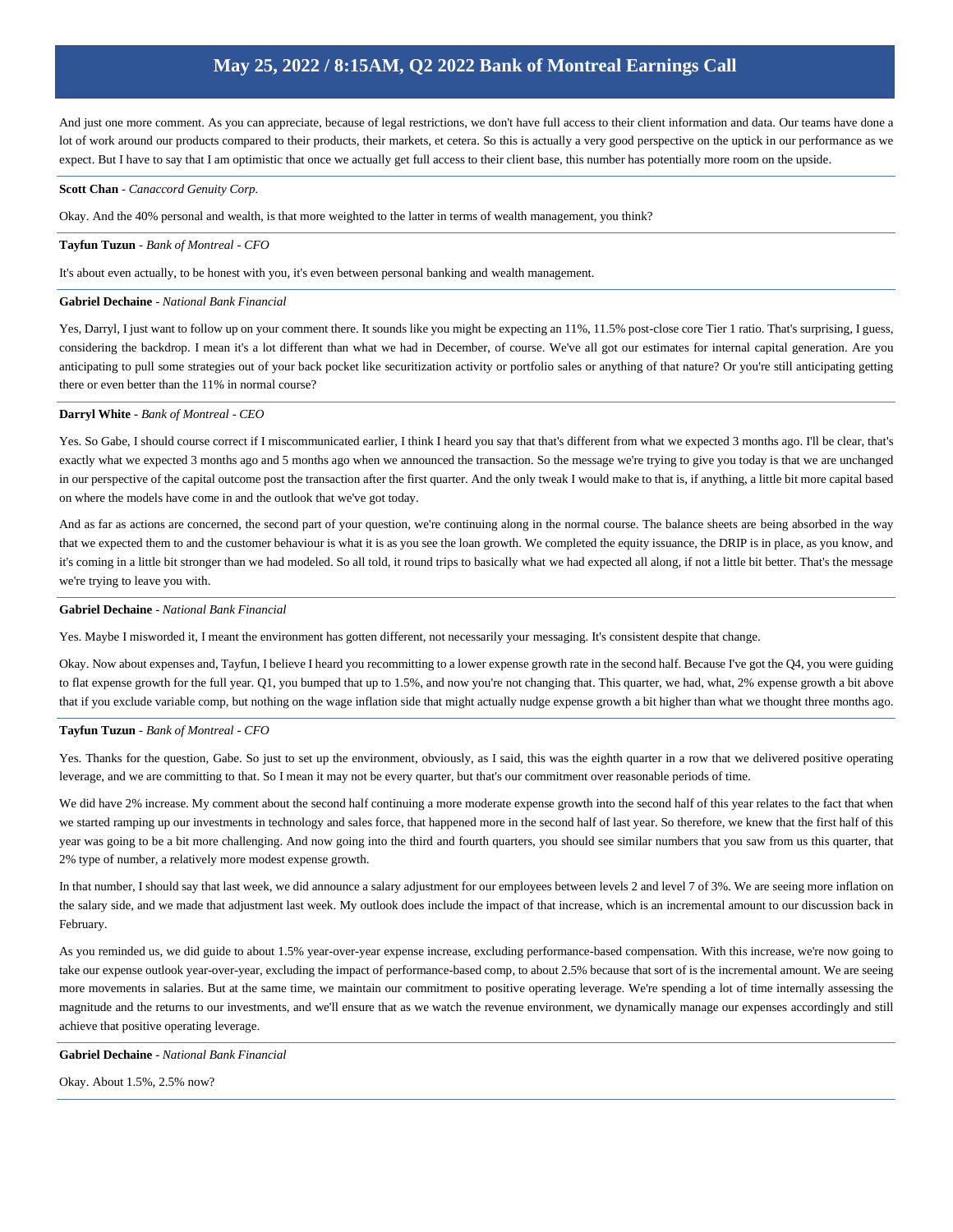And just one more comment. As you can appreciate, because of legal restrictions, we don't have full access to their client information and data. Our teams have done a lot of work around our products compared to their products, their markets, et cetera. So this is actually a very good perspective on the uptick in our performance as we expect. But I have to say that I am optimistic that once we actually get full access to their client base, this number has potentially more room on the upside.

## **Scott Chan** - *Canaccord Genuity Corp.*

Okay. And the 40% personal and wealth, is that more weighted to the latter in terms of wealth management, you think?

## **Tayfun Tuzun** - *Bank of Montreal - CFO*

It's about even actually, to be honest with you, it's even between personal banking and wealth management.

### **Gabriel Dechaine** *- National Bank Financial*

Yes, Darryl, I just want to follow up on your comment there. It sounds like you might be expecting an 11%, 11.5% post-close core Tier 1 ratio. That's surprising, I guess, considering the backdrop. I mean it's a lot different than what we had in December, of course. We've all got our estimates for internal capital generation. Are you anticipating to pull some strategies out of your back pocket like securitization activity or portfolio sales or anything of that nature? Or you're still anticipating getting there or even better than the 11% in normal course?

## **Darryl White -** *Bank of Montreal - CEO*

Yes. So Gabe, I should course correct if I miscommunicated earlier, I think I heard you say that that's different from what we expected 3 months ago. I'll be clear, that's exactly what we expected 3 months ago and 5 months ago when we announced the transaction. So the message we're trying to give you today is that we are unchanged in our perspective of the capital outcome post the transaction after the first quarter. And the only tweak I would make to that is, if anything, a little bit more capital based on where the models have come in and the outlook that we've got today.

And as far as actions are concerned, the second part of your question, we're continuing along in the normal course. The balance sheets are being absorbed in the way that we expected them to and the customer behaviour is what it is as you see the loan growth. We completed the equity issuance, the DRIP is in place, as you know, and it's coming in a little bit stronger than we had modeled. So all told, it round trips to basically what we had expected all along, if not a little bit better. That's the message we're trying to leave you with.

## **Gabriel Dechaine** - *National Bank Financial*

Yes. Maybe I misworded it, I meant the environment has gotten different, not necessarily your messaging. It's consistent despite that change.

Okay. Now about expenses and, Tayfun, I believe I heard you recommitting to a lower expense growth rate in the second half. Because I've got the Q4, you were guiding to flat expense growth for the full year. Q1, you bumped that up to 1.5%, and now you're not changing that. This quarter, we had, what, 2% expense growth a bit above that if you exclude variable comp, but nothing on the wage inflation side that might actually nudge expense growth a bit higher than what we thought three months ago.

## **Tayfun Tuzun** - *Bank of Montreal - CFO*

Yes. Thanks for the question, Gabe. So just to set up the environment, obviously, as I said, this was the eighth quarter in a row that we delivered positive operating leverage, and we are committing to that. So I mean it may not be every quarter, but that's our commitment over reasonable periods of time.

We did have 2% increase. My comment about the second half continuing a more moderate expense growth into the second half of this year relates to the fact that when we started ramping up our investments in technology and sales force, that happened more in the second half of last year. So therefore, we knew that the first half of this year was going to be a bit more challenging. And now going into the third and fourth quarters, you should see similar numbers that you saw from us this quarter, that 2% type of number, a relatively more modest expense growth.

In that number, I should say that last week, we did announce a salary adjustment for our employees between levels 2 and level 7 of 3%. We are seeing more inflation on the salary side, and we made that adjustment last week. My outlook does include the impact of that increase, which is an incremental amount to our discussion back in February.

As you reminded us, we did guide to about 1.5% year-over-year expense increase, excluding performance-based compensation. With this increase, we're now going to take our expense outlook year-over-year, excluding the impact of performance-based comp, to about 2.5% because that sort of is the incremental amount. We are seeing more movements in salaries. But at the same time, we maintain our commitment to positive operating leverage. We're spending a lot of time internally assessing the magnitude and the returns to our investments, and we'll ensure that as we watch the revenue environment, we dynamically manage our expenses accordingly and still achieve that positive operating leverage.

## **Gabriel Dechaine** - *National Bank Financial*

Okay. About 1.5%, 2.5% now?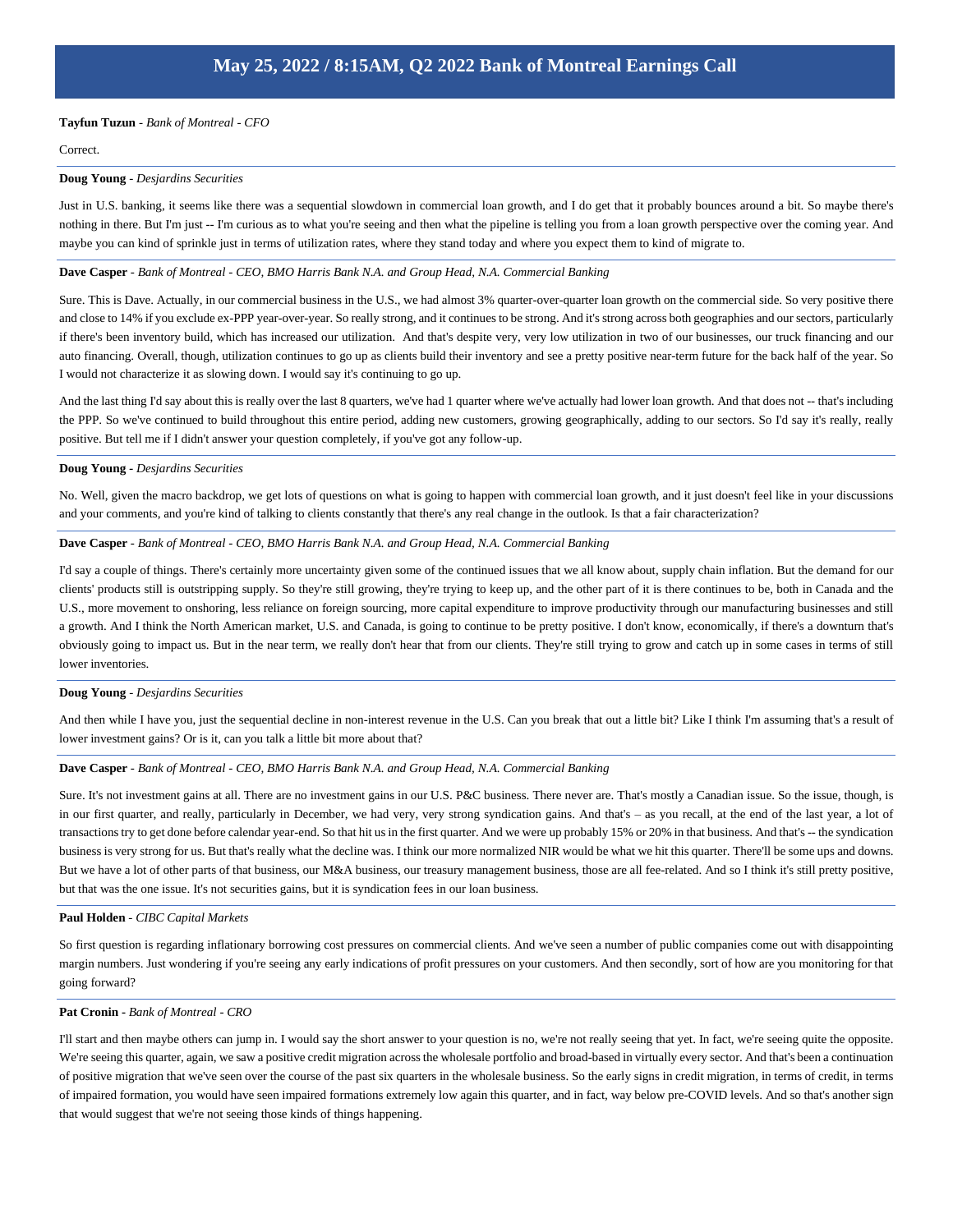## **Tayfun Tuzun** - *Bank of Montreal - CFO*

### Correct.

#### **Doug Young** - *Desjardins Securities*

Just in U.S. banking, it seems like there was a sequential slowdown in commercial loan growth, and I do get that it probably bounces around a bit. So maybe there's nothing in there. But I'm just -- I'm curious as to what you're seeing and then what the pipeline is telling you from a loan growth perspective over the coming year. And maybe you can kind of sprinkle just in terms of utilization rates, where they stand today and where you expect them to kind of migrate to.

#### **Dave Casper** - *Bank of Montreal - CEO, BMO Harris Bank N.A. and Group Head, N.A. Commercial Banking*

Sure. This is Dave. Actually, in our commercial business in the U.S., we had almost 3% quarter-over-quarter loan growth on the commercial side. So very positive there and close to 14% if you exclude ex-PPP year-over-year. So really strong, and it continues to be strong. And it'sstrong across both geographies and our sectors, particularly if there's been inventory build, which has increased our utilization. And that's despite very, very low utilization in two of our businesses, our truck financing and our auto financing. Overall, though, utilization continues to go up as clients build their inventory and see a pretty positive near-term future for the back half of the year. So I would not characterize it as slowing down. I would say it's continuing to go up.

And the last thing I'd say about this is really over the last 8 quarters, we've had 1 quarter where we've actually had lower loan growth. And that does not -- that's including the PPP. So we've continued to build throughout this entire period, adding new customers, growing geographically, adding to our sectors. So I'd say it's really, really positive. But tell me if I didn't answer your question completely, if you've got any follow-up.

## **Doug Young** *- Desjardins Securities*

No. Well, given the macro backdrop, we get lots of questions on what is going to happen with commercial loan growth, and it just doesn't feel like in your discussions and your comments, and you're kind of talking to clients constantly that there's any real change in the outlook. Is that a fair characterization?

## **Dave Casper** - *Bank of Montreal - CEO, BMO Harris Bank N.A. and Group Head, N.A. Commercial Banking*

I'd say a couple of things. There's certainly more uncertainty given some of the continued issues that we all know about, supply chain inflation. But the demand for our clients' products still is outstripping supply. So they're still growing, they're trying to keep up, and the other part of it is there continues to be, both in Canada and the U.S., more movement to onshoring, less reliance on foreign sourcing, more capital expenditure to improve productivity through our manufacturing businesses and still a growth. And I think the North American market, U.S. and Canada, is going to continue to be pretty positive. I don't know, economically, if there's a downturn that's obviously going to impact us. But in the near term, we really don't hear that from our clients. They're still trying to grow and catch up in some cases in terms of still lower inventories.

### **Doug Young** - *Desjardins Securities*

And then while I have you, just the sequential decline in non-interest revenue in the U.S. Can you break that out a little bit? Like I think I'm assuming that's a result of lower investment gains? Or is it, can you talk a little bit more about that?

## **Dave Casper** - *Bank of Montreal - CEO, BMO Harris Bank N.A. and Group Head, N.A. Commercial Banking*

Sure. It's not investment gains at all. There are no investment gains in our U.S. P&C business. There never are. That's mostly a Canadian issue. So the issue, though, is in our first quarter, and really, particularly in December, we had very, very strong syndication gains. And that's – as you recall, at the end of the last year, a lot of transactions try to get done before calendar year-end. So that hit us in the first quarter. And we were up probably 15% or 20% in that business. And that's -- the syndication business is very strong for us. But that's really what the decline was. I think our more normalized NIR would be what we hit this quarter. There'll be some ups and downs. But we have a lot of other parts of that business, our M&A business, our treasury management business, those are all fee-related. And so I think it's still pretty positive, but that was the one issue. It's not securities gains, but it is syndication fees in our loan business.

#### **Paul Holden** *- CIBC Capital Markets*

So first question is regarding inflationary borrowing cost pressures on commercial clients. And we've seen a number of public companies come out with disappointing margin numbers. Just wondering if you're seeing any early indications of profit pressures on your customers. And then secondly, sort of how are you monitoring for that going forward?

## **Pat Cronin -** *Bank of Montreal - CRO*

I'll start and then maybe others can jump in. I would say the short answer to your question is no, we're not really seeing that yet. In fact, we're seeing quite the opposite. We're seeing this quarter, again, we saw a positive credit migration acrossthe wholesale portfolio and broad-based in virtually every sector. And that's been a continuation of positive migration that we've seen over the course of the past six quarters in the wholesale business. So the early signs in credit migration, in terms of credit, in terms of impaired formation, you would have seen impaired formations extremely low again this quarter, and in fact, way below pre-COVID levels. And so that's another sign that would suggest that we're not seeing those kinds of things happening.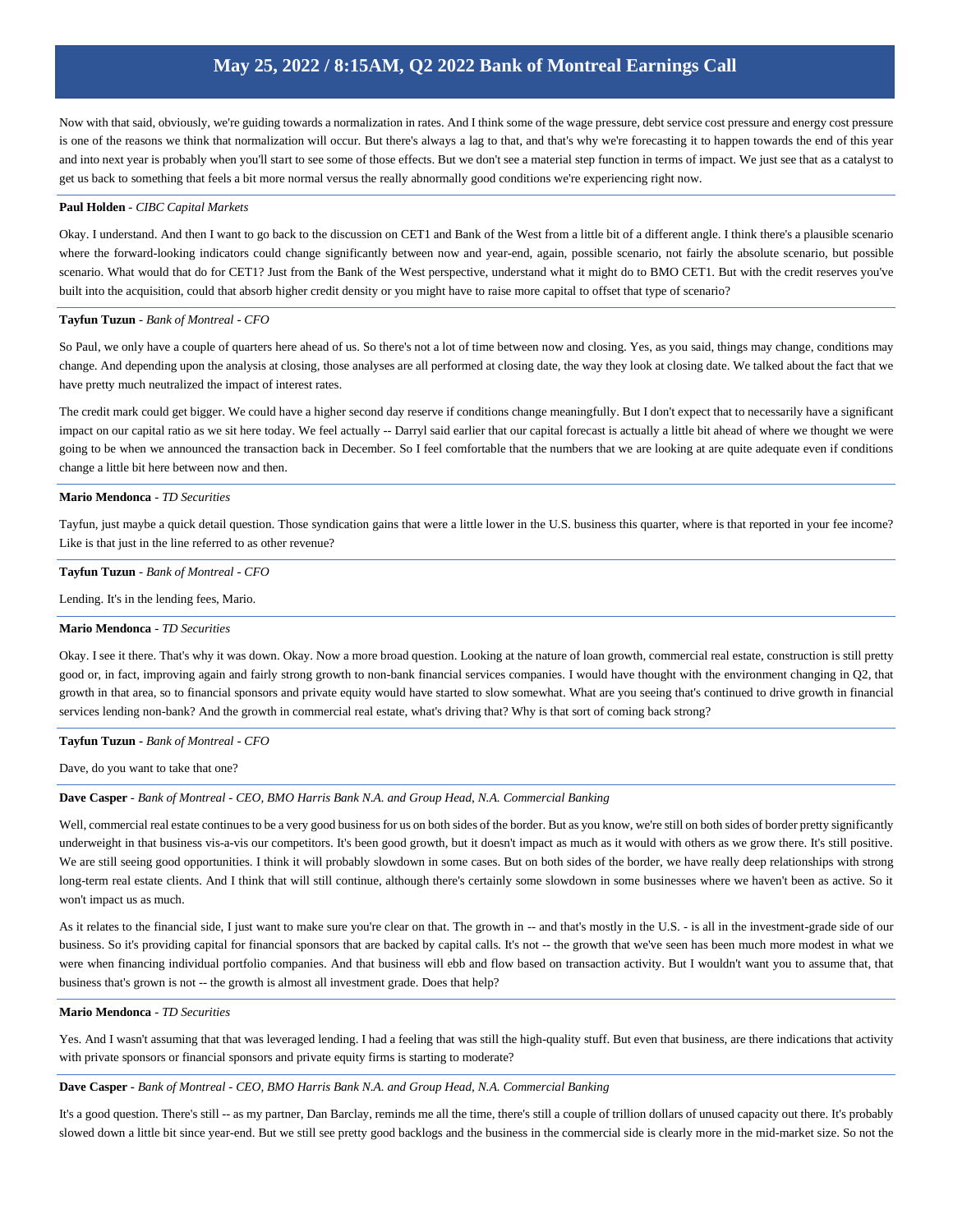Now with that said, obviously, we're guiding towards a normalization in rates. And I think some of the wage pressure, debt service cost pressure and energy cost pressure is one of the reasons we think that normalization will occur. But there's always a lag to that, and that's why we're forecasting it to happen towards the end of this year and into next year is probably when you'll start to see some of those effects. But we don't see a material step function in terms of impact. We just see that as a catalyst to get us back to something that feels a bit more normal versus the really abnormally good conditions we're experiencing right now.

#### **Paul Holden** - *CIBC Capital Markets*

Okay. I understand. And then I want to go back to the discussion on CET1 and Bank of the West from a little bit of a different angle. I think there's a plausible scenario where the forward-looking indicators could change significantly between now and year-end, again, possible scenario, not fairly the absolute scenario, but possible scenario. What would that do for CET1? Just from the Bank of the West perspective, understand what it might do to BMO CET1. But with the credit reserves you've built into the acquisition, could that absorb higher credit density or you might have to raise more capital to offset that type of scenario?

#### **Tayfun Tuzun** - *Bank of Montreal - CFO*

So Paul, we only have a couple of quarters here ahead of us. So there's not a lot of time between now and closing. Yes, as you said, things may change, conditions may change. And depending upon the analysis at closing, those analyses are all performed at closing date, the way they look at closing date. We talked about the fact that we have pretty much neutralized the impact of interest rates.

The credit mark could get bigger. We could have a higher second day reserve if conditions change meaningfully. But I don't expect that to necessarily have a significant impact on our capital ratio as we sit here today. We feel actually -- Darryl said earlier that our capital forecast is actually a little bit ahead of where we thought we were going to be when we announced the transaction back in December. So I feel comfortable that the numbers that we are looking at are quite adequate even if conditions change a little bit here between now and then.

#### **Mario Mendonca** - *TD Securities*

Tayfun, just maybe a quick detail question. Those syndication gains that were a little lower in the U.S. business this quarter, where is that reported in your fee income? Like is that just in the line referred to as other revenue?

### **Tayfun Tuzun** - *Bank of Montreal - CFO*

Lending. It's in the lending fees, Mario.

#### **Mario Mendonca** *- TD Securities*

Okay. I see it there. That's why it was down. Okay. Now a more broad question. Looking at the nature of loan growth, commercial real estate, construction is still pretty good or, in fact, improving again and fairly strong growth to non-bank financial services companies. I would have thought with the environment changing in Q2, that growth in that area, so to financial sponsors and private equity would have started to slow somewhat. What are you seeing that's continued to drive growth in financial services lending non-bank? And the growth in commercial real estate, what's driving that? Why is that sort of coming back strong?

#### **Tayfun Tuzun -** *Bank of Montreal - CFO*

Dave, do you want to take that one?

## **Dave Casper** - *Bank of Montreal - CEO, BMO Harris Bank N.A. and Group Head, N.A. Commercial Banking*

Well, commercial real estate continues to be a very good business for us on both sides of the border. But as you know, we're still on both sides of border pretty significantly underweight in that business vis-a-vis our competitors. It's been good growth, but it doesn't impact as much as it would with others as we grow there. It's still positive. We are still seeing good opportunities. I think it will probably slowdown in some cases. But on both sides of the border, we have really deep relationships with strong long-term real estate clients. And I think that will still continue, although there's certainly some slowdown in some businesses where we haven't been as active. So it won't impact us as much.

As it relates to the financial side, I just want to make sure you're clear on that. The growth in -- and that's mostly in the U.S. - is all in the investment-grade side of our business. So it's providing capital for financial sponsors that are backed by capital calls. It's not -- the growth that we've seen has been much more modest in what we were when financing individual portfolio companies. And that business will ebb and flow based on transaction activity. But I wouldn't want you to assume that, that business that's grown is not -- the growth is almost all investment grade. Does that help?

#### **Mario Mendonca** *- TD Securities*

Yes. And I wasn't assuming that that was leveraged lending. I had a feeling that was still the high-quality stuff. But even that business, are there indications that activity with private sponsors or financial sponsors and private equity firms is starting to moderate?

#### **Dave Casper -** *Bank of Montreal - CEO, BMO Harris Bank N.A. and Group Head, N.A. Commercial Banking*

It's a good question. There's still -- as my partner, Dan Barclay, reminds me all the time, there's still a couple of trillion dollars of unused capacity out there. It's probably slowed down a little bit since year-end. But we still see pretty good backlogs and the business in the commercial side is clearly more in the mid-market size. So not the